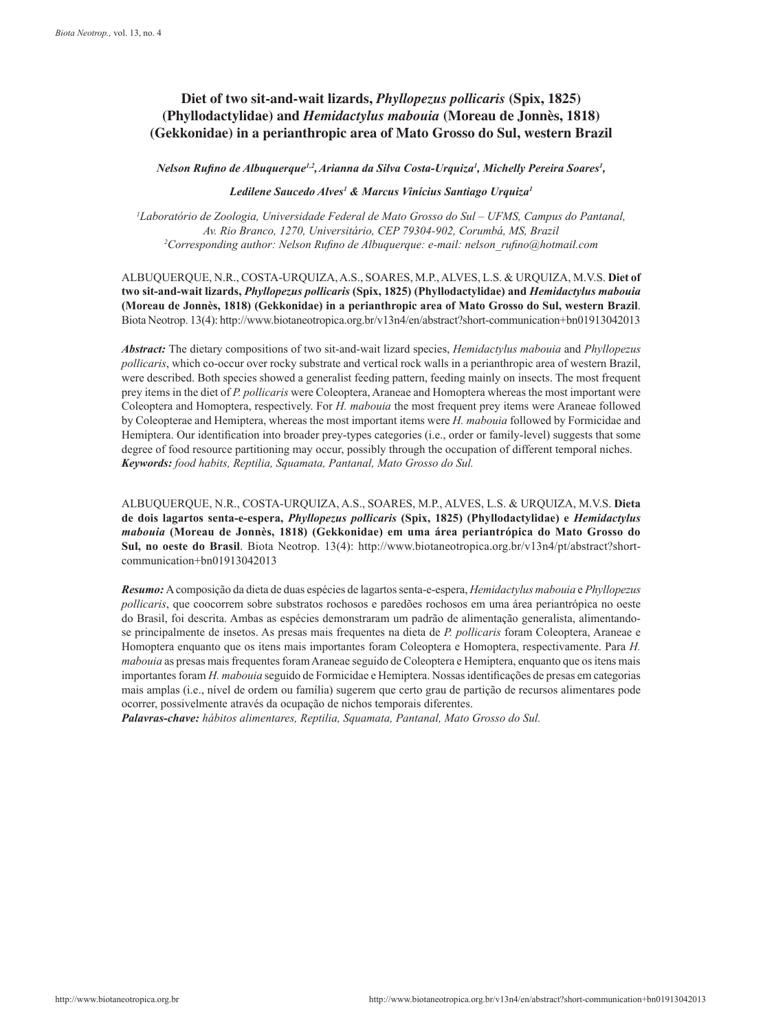# **Diet of two sit-and-wait lizards,** *Phyllopezus pollicaris* **(Spix, 1825) (Phyllodactylidae) and** *Hemidactylus mabouia* **(Moreau de Jonnès, 1818) (Gekkonidae) in a perianthropic area of Mato Grosso do Sul, western Brazil**

*Nelson Rufino de Albuquerque1,2,Arianna da Silva Costa-Urquiza<sup>1</sup> , Michelly Pereira Soares<sup>1</sup> ,* 

### *Ledilene Saucedo Alves<sup>1</sup> & Marcus Vinícius Santiago Urquiza<sup>1</sup>*

*1 Laboratório de Zoologia, Universidade Federal de Mato Grosso do Sul – UFMS, Campus do Pantanal, Av. Rio Branco, 1270, Universitário, CEP 79304-902, Corumbá, MS, Brazil 2 Corresponding author: Nelson Rufino de Albuquerque: e-mail: nelson\_rufino@hotmail.com*

ALBUQUERQUE, N.R., COSTA-URQUIZA, A.S., SOARES, M.P., ALVES, L.S. & URQUIZA, M.V.S. **Diet of two sit-and-wait lizards,** *Phyllopezus pollicaris* **(Spix, 1825) (Phyllodactylidae) and** *Hemidactylus mabouia* **(Moreau de Jonnès, 1818) (Gekkonidae) in a perianthropic area of Mato Grosso do Sul, western Brazil**. Biota Neotrop. 13(4): http://www.biotaneotropica.org.br/v13n4/en/abstract?short-communication+bn01913042013

*Abstract:* The dietary compositions of two sit-and-wait lizard species, *Hemidactylus mabouia* and *Phyllopezus pollicaris*, which co-occur over rocky substrate and vertical rock walls in a perianthropic area of western Brazil, were described. Both species showed a generalist feeding pattern, feeding mainly on insects. The most frequent prey items in the diet of *P. pollicaris* were Coleoptera, Araneae and Homoptera whereas the most important were Coleoptera and Homoptera, respectively. For *H. mabouia* the most frequent prey items were Araneae followed by Coleopterae and Hemiptera, whereas the most important items were *H. mabouia* followed by Formicidae and Hemiptera. Our identification into broader prey-types categories (i.e., order or family-level) suggests that some degree of food resource partitioning may occur, possibly through the occupation of different temporal niches. *Keywords: food habits, Reptilia, Squamata, Pantanal, Mato Grosso do Sul.*

ALBUQUERQUE, N.R., COSTA-URQUIZA, A.S., SOARES, M.P., ALVES, L.S. & URQUIZA, M.V.S. **Dieta de dois lagartos senta-e-espera,** *Phyllopezus pollicaris* **(Spix, 1825) (Phyllodactylidae) e** *Hemidactylus mabouia* **(Moreau de Jonnès, 1818) (Gekkonidae) em uma área periantrópica do Mato Grosso do Sul, no oeste do Brasil**. Biota Neotrop. 13(4): http://www.biotaneotropica.org.br/v13n4/pt/abstract?shortcommunication+bn01913042013

*Resumo:* A composição da dieta de duas espécies de lagartos senta-e-espera, *Hemidactylus mabouia* e *Phyllopezus pollicaris*, que coocorrem sobre substratos rochosos e paredões rochosos em uma área periantrópica no oeste do Brasil, foi descrita. Ambas as espécies demonstraram um padrão de alimentação generalista, alimentandose principalmente de insetos. As presas mais frequentes na dieta de *P. pollicaris* foram Coleoptera, Araneae e Homoptera enquanto que os itens mais importantes foram Coleoptera e Homoptera, respectivamente. Para *H. mabouia* as presas mais frequentes foram Araneae seguido de Coleoptera e Hemiptera, enquanto que os itens mais importantes foram *H. mabouia* seguido de Formicidae e Hemiptera. Nossas identificações de presas em categorias mais amplas (i.e., nível de ordem ou família) sugerem que certo grau de partição de recursos alimentares pode ocorrer, possivelmente através da ocupação de nichos temporais diferentes.

*Palavras-chave: hábitos alimentares, Reptilia, Squamata, Pantanal, Mato Grosso do Sul.*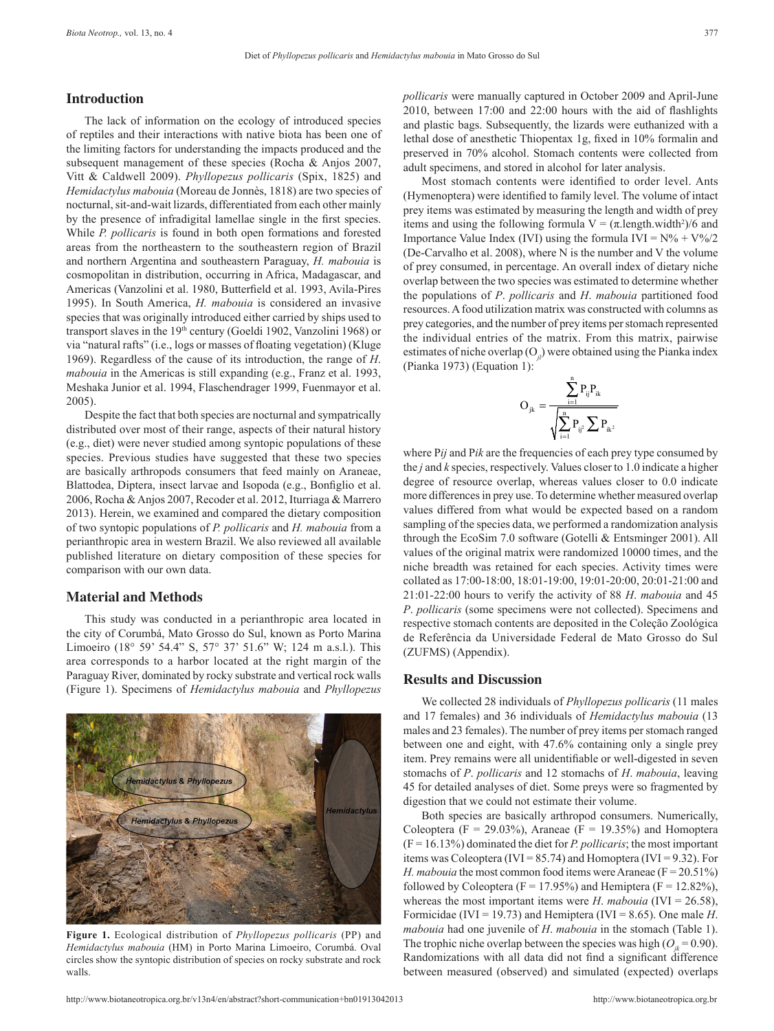# **Introduction**

The lack of information on the ecology of introduced species of reptiles and their interactions with native biota has been one of the limiting factors for understanding the impacts produced and the subsequent management of these species (Rocha & Anjos 2007, Vitt & Caldwell 2009). *Phyllopezus pollicaris* (Spix, 1825) and *Hemidactylus mabouia* (Moreau de Jonnès, 1818) are two species of nocturnal, sit-and-wait lizards, differentiated from each other mainly by the presence of infradigital lamellae single in the first species. While *P. pollicaris* is found in both open formations and forested areas from the northeastern to the southeastern region of Brazil and northern Argentina and southeastern Paraguay, *H. mabouia* is cosmopolitan in distribution, occurring in Africa, Madagascar, and Americas (Vanzolini et al. 1980, Butterfield et al. 1993, Avila-Pires 1995). In South America, *H. mabouia* is considered an invasive species that was originally introduced either carried by ships used to transport slaves in the 19<sup>th</sup> century (Goeldi 1902, Vanzolini 1968) or via "natural rafts" (i.e., logs or masses of floating vegetation) (Kluge 1969). Regardless of the cause of its introduction, the range of *H*. *mabouia* in the Americas is still expanding (e.g., Franz et al. 1993, Meshaka Junior et al. 1994, Flaschendrager 1999, Fuenmayor et al. 2005).

Despite the fact that both species are nocturnal and sympatrically distributed over most of their range, aspects of their natural history (e.g., diet) were never studied among syntopic populations of these species. Previous studies have suggested that these two species are basically arthropods consumers that feed mainly on Araneae, Blattodea, Diptera, insect larvae and Isopoda (e.g., Bonfiglio et al. 2006, Rocha & Anjos 2007, Recoder et al. 2012, Iturriaga & Marrero 2013). Herein, we examined and compared the dietary composition of two syntopic populations of *P. pollicaris* and *H. mabouia* from a perianthropic area in western Brazil. We also reviewed all available published literature on dietary composition of these species for comparison with our own data.

#### **Material and Methods**

This study was conducted in a perianthropic area located in the city of Corumbá, Mato Grosso do Sul, known as Porto Marina Limoeiro (18° 59' 54.4" S, 57° 37' 51.6" W; 124 m a.s.l.). This area corresponds to a harbor located at the right margin of the Paraguay River, dominated by rocky substrate and vertical rock walls (Figure 1). Specimens of *Hemidactylus mabouia* and *Phyllopezus* 



**Figure 1.** Ecological distribution of *Phyllopezus pollicaris* (PP) and *Hemidactylus mabouia* (HM) in Porto Marina Limoeiro, Corumbá. Oval circles show the syntopic distribution of species on rocky substrate and rock walls.

Most stomach contents were identified to order level. Ants (Hymenoptera) were identified to family level. The volume of intact prey items was estimated by measuring the length and width of prey items and using the following formula  $V = (\pi$ .length.width<sup>2</sup>)/6 and Importance Value Index (IVI) using the formula IVI =  $N\% + V\% / 2$ (De-Carvalho et al. 2008), where N is the number and V the volume of prey consumed, in percentage. An overall index of dietary niche overlap between the two species was estimated to determine whether the populations of *P*. *pollicaris* and *H*. *mabouia* partitioned food resources. A food utilization matrix was constructed with columns as prey categories, and the number of prey items per stomach represented the individual entries of the matrix. From this matrix, pairwise estimates of niche overlap (O<sub>*j*</sub>) were obtained using the Pianka index (Pianka 1973) (Equation 1):

$$
O_{jk}=\frac{\displaystyle\sum_{i=1}^nP_{ij}P_{ik}}{\sqrt{\displaystyle\sum_{i=1}^nP_{ij^2}\sum P_{ik^2}}}
$$

where P*ij* and P*ik* are the frequencies of each prey type consumed by the *j* and *k* species, respectively. Values closer to 1.0 indicate a higher degree of resource overlap, whereas values closer to 0.0 indicate more differences in prey use. To determine whether measured overlap values differed from what would be expected based on a random sampling of the species data, we performed a randomization analysis through the EcoSim 7.0 software (Gotelli & Entsminger 2001). All values of the original matrix were randomized 10000 times, and the niche breadth was retained for each species. Activity times were collated as 17:00-18:00, 18:01-19:00, 19:01-20:00, 20:01-21:00 and 21:01-22:00 hours to verify the activity of 88 *H*. *mabouia* and 45 *P*. *pollicaris* (some specimens were not collected). Specimens and respective stomach contents are deposited in the Coleção Zoológica de Referência da Universidade Federal de Mato Grosso do Sul (ZUFMS) (Appendix).

#### **Results and Discussion**

We collected 28 individuals of *Phyllopezus pollicaris* (11 males and 17 females) and 36 individuals of *Hemidactylus mabouia* (13 males and 23 females). The number of prey items per stomach ranged between one and eight, with 47.6% containing only a single prey item. Prey remains were all unidentifiable or well-digested in seven stomachs of *P*. *pollicaris* and 12 stomachs of *H*. *mabouia*, leaving 45 for detailed analyses of diet. Some preys were so fragmented by digestion that we could not estimate their volume.

Both species are basically arthropod consumers. Numerically, Coleoptera (F = 29.03%), Araneae (F = 19.35%) and Homoptera (F = 16.13%) dominated the diet for *P. pollicaris*; the most important items was Coleoptera (IVI =  $85.74$ ) and Homoptera (IVI =  $9.32$ ). For *H. mabouia* the most common food items were Araneae ( $F = 20.51\%$ ) followed by Coleoptera (F = 17.95%) and Hemiptera (F = 12.82%), whereas the most important items were *H*. *mabouia* (IVI = 26.58), Formicidae (IVI = 19.73) and Hemiptera (IVI = 8.65). One male *H*. *mabouia* had one juvenile of *H*. *mabouia* in the stomach (Table 1). The trophic niche overlap between the species was high  $(O_{ik} = 0.90)$ . Randomizations with all data did not find a significant difference between measured (observed) and simulated (expected) overlaps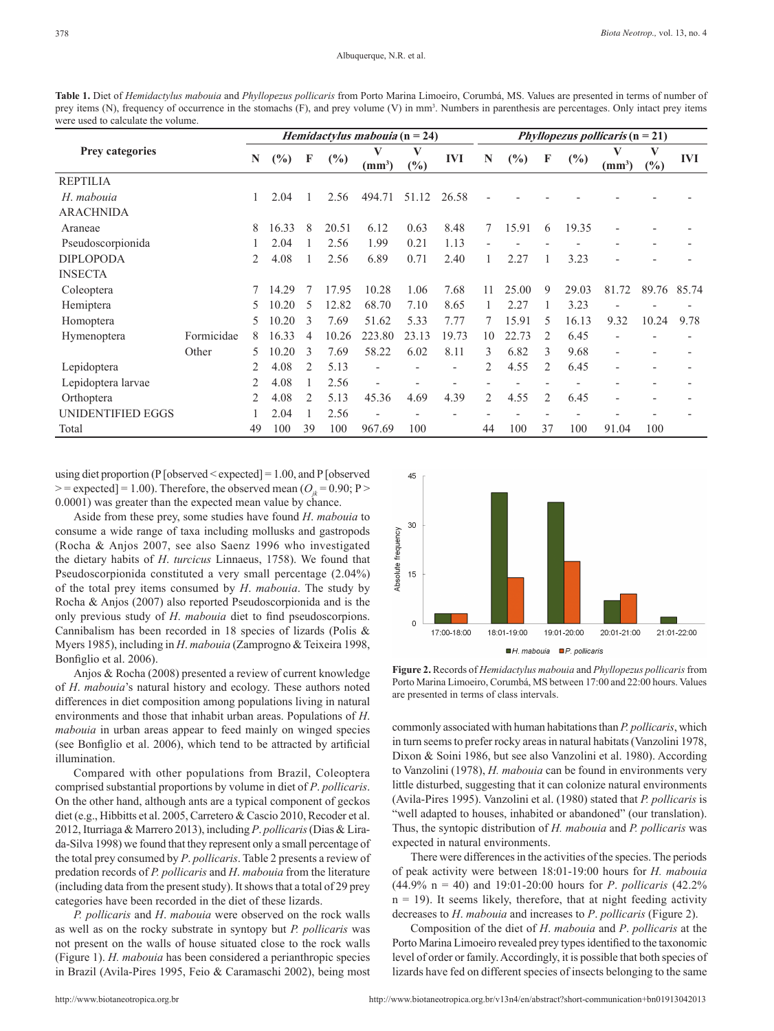**Table 1.** Diet of *Hemidactylus mabouia* and *Phyllopezus pollicaris* from Porto Marina Limoeiro, Corumbá, MS. Values are presented in terms of number of prey items (N), frequency of occurrence in the stomachs (F), and prey volume (V) in mm<sup>3</sup>. Numbers in parenthesis are percentages. Only intact prey items were used to calculate the volume.

|                        |            | <i>Hemidactylus mabouia</i> $(n = 24)$ |        |    |       |                    | Phyllopezus pollicaris ( $n = 21$ ) |            |                |        |                |       |                          |          |            |
|------------------------|------------|----------------------------------------|--------|----|-------|--------------------|-------------------------------------|------------|----------------|--------|----------------|-------|--------------------------|----------|------------|
| <b>Prey categories</b> |            | N                                      | $(\%)$ | F  | (%)   | (mm <sup>3</sup> ) | V<br>$\frac{6}{2}$                  | <b>IVI</b> | N              | $(\%)$ | F              | (%)   | V<br>$\text{(mm}^3)$     | V<br>(%) | <b>IVI</b> |
| <b>REPTILIA</b>        |            |                                        |        |    |       |                    |                                     |            |                |        |                |       |                          |          |            |
| H. mabouia             |            |                                        | 2.04   |    | 2.56  | 494.71             | 51.12                               | 26.58      |                |        |                |       |                          |          |            |
| <b>ARACHNIDA</b>       |            |                                        |        |    |       |                    |                                     |            |                |        |                |       |                          |          |            |
| Araneae                |            | 8                                      | 16.33  | 8  | 20.51 | 6.12               | 0.63                                | 8.48       |                | 15.91  | 6              | 19.35 | $\overline{a}$           |          |            |
| Pseudoscorpionida      |            |                                        | 2.04   |    | 2.56  | 1.99               | 0.21                                | 1.13       |                |        |                |       |                          |          |            |
| <b>DIPLOPODA</b>       |            | 2                                      | 4.08   |    | 2.56  | 6.89               | 0.71                                | 2.40       |                | 2.27   |                | 3.23  |                          |          |            |
| <b>INSECTA</b>         |            |                                        |        |    |       |                    |                                     |            |                |        |                |       |                          |          |            |
| Coleoptera             |            |                                        | 14.29  |    | 17.95 | 10.28              | 1.06                                | 7.68       | 11             | 25.00  | 9              | 29.03 | 81.72                    | 89.76    | 85.74      |
| Hemiptera              |            | 5.                                     | 10.20  | 5  | 12.82 | 68.70              | 7.10                                | 8.65       |                | 2.27   |                | 3.23  |                          |          |            |
| Homoptera              |            | 5.                                     | 10.20  | 3  | 7.69  | 51.62              | 5.33                                | 7.77       |                | 15.91  | 5              | 16.13 | 9.32                     | 10.24    | 9.78       |
| Hymenoptera            | Formicidae | 8                                      | 16.33  | 4  | 10.26 | 223.80             | 23.13                               | 19.73      | 10             | 22.73  | 2              | 6.45  |                          |          |            |
|                        | Other      | 5.                                     | 10.20  | 3  | 7.69  | 58.22              | 6.02                                | 8.11       | 3              | 6.82   | 3              | 9.68  | $\overline{\phantom{0}}$ |          |            |
| Lepidoptera            |            | 2                                      | 4.08   | 2  | 5.13  |                    | $\overline{\phantom{0}}$            |            | 2              | 4.55   | $\overline{c}$ | 6.45  | $\blacksquare$           |          |            |
| Lepidoptera larvae     |            | 2                                      | 4.08   |    | 2.56  |                    |                                     |            |                |        |                |       |                          |          |            |
| Orthoptera             |            | 2                                      | 4.08   | 2  | 5.13  | 45.36              | 4.69                                | 4.39       | $\overline{2}$ | 4.55   | 2              | 6.45  | $\overline{a}$           |          |            |
| UNIDENTIFIED EGGS      |            |                                        | 2.04   |    | 2.56  |                    |                                     |            |                |        |                |       |                          |          |            |
| Total                  |            | 49                                     | 100    | 39 | 100   | 967.69             | 100                                 |            | 44             | 100    | 37             | 100   | 91.04                    | 100      |            |

using diet proportion (P [observed  $\leq$  expected] = 1.00, and P [observed]  $\ge$  = expected] = 1.00). Therefore, the observed mean ( $O_a$  = 0.90; P  $\ge$ 0.0001) was greater than the expected mean value by chance.

Aside from these prey, some studies have found *H*. *mabouia* to consume a wide range of taxa including mollusks and gastropods (Rocha & Anjos 2007, see also Saenz 1996 who investigated the dietary habits of *H*. *turcicus* Linnaeus, 1758). We found that Pseudoscorpionida constituted a very small percentage (2.04%) of the total prey items consumed by *H*. *mabouia*. The study by Rocha & Anjos (2007) also reported Pseudoscorpionida and is the only previous study of *H*. *mabouia* diet to find pseudoscorpions. Cannibalism has been recorded in 18 species of lizards (Polis & Myers 1985), including in *H*. *mabouia* (Zamprogno & Teixeira 1998, Bonfiglio et al. 2006).

Anjos & Rocha (2008) presented a review of current knowledge of *H*. *mabouia*'s natural history and ecology. These authors noted differences in diet composition among populations living in natural environments and those that inhabit urban areas. Populations of *H*. *mabouia* in urban areas appear to feed mainly on winged species (see Bonfiglio et al. 2006), which tend to be attracted by artificial illumination.

Compared with other populations from Brazil, Coleoptera comprised substantial proportions by volume in diet of *P*. *pollicaris*. On the other hand, although ants are a typical component of geckos diet (e.g., Hibbitts et al. 2005, Carretero & Cascio 2010, Recoder et al. 2012, Iturriaga & Marrero 2013), including *P*. *pollicaris* (Dias & Lirada-Silva 1998) we found that they represent only a small percentage of the total prey consumed by *P*. *pollicaris*. Table 2 presents a review of predation records of *P. pollicaris* and *H*. *mabouia* from the literature (including data from the present study). It shows that a total of 29 prey categories have been recorded in the diet of these lizards.

*P. pollicaris* and *H*. *mabouia* were observed on the rock walls as well as on the rocky substrate in syntopy but *P. pollicaris* was not present on the walls of house situated close to the rock walls (Figure 1). *H. mabouia* has been considered a perianthropic species in Brazil (Avila-Pires 1995, Feio & Caramaschi 2002), being most



**Figure 2.** Records of *Hemidactylus mabouia* and *Phyllopezus pollicaris* from Porto Marina Limoeiro, Corumbá, MS between 17:00 and 22:00 hours. Values are presented in terms of class intervals.

commonly associated with human habitations than *P. pollicaris*, which in turn seems to prefer rocky areas in natural habitats (Vanzolini 1978, Dixon & Soini 1986, but see also Vanzolini et al. 1980). According to Vanzolini (1978), *H. mabouia* can be found in environments very little disturbed, suggesting that it can colonize natural environments (Avila-Pires 1995). Vanzolini et al. (1980) stated that *P. pollicaris* is "well adapted to houses, inhabited or abandoned" (our translation). Thus, the syntopic distribution of *H. mabouia* and *P. pollicaris* was expected in natural environments.

There were differences in the activities of the species. The periods of peak activity were between 18:01-19:00 hours for *H. mabouia*  (44.9% n = 40) and 19:01-20:00 hours for *P*. *pollicaris* (42.2%  $n = 19$ ). It seems likely, therefore, that at night feeding activity decreases to *H*. *mabouia* and increases to *P*. *pollicaris* (Figure 2).

Composition of the diet of *H*. *mabouia* and *P*. *pollicaris* at the Porto Marina Limoeiro revealed prey types identified to the taxonomic level of order or family. Accordingly, it is possible that both species of lizards have fed on different species of insects belonging to the same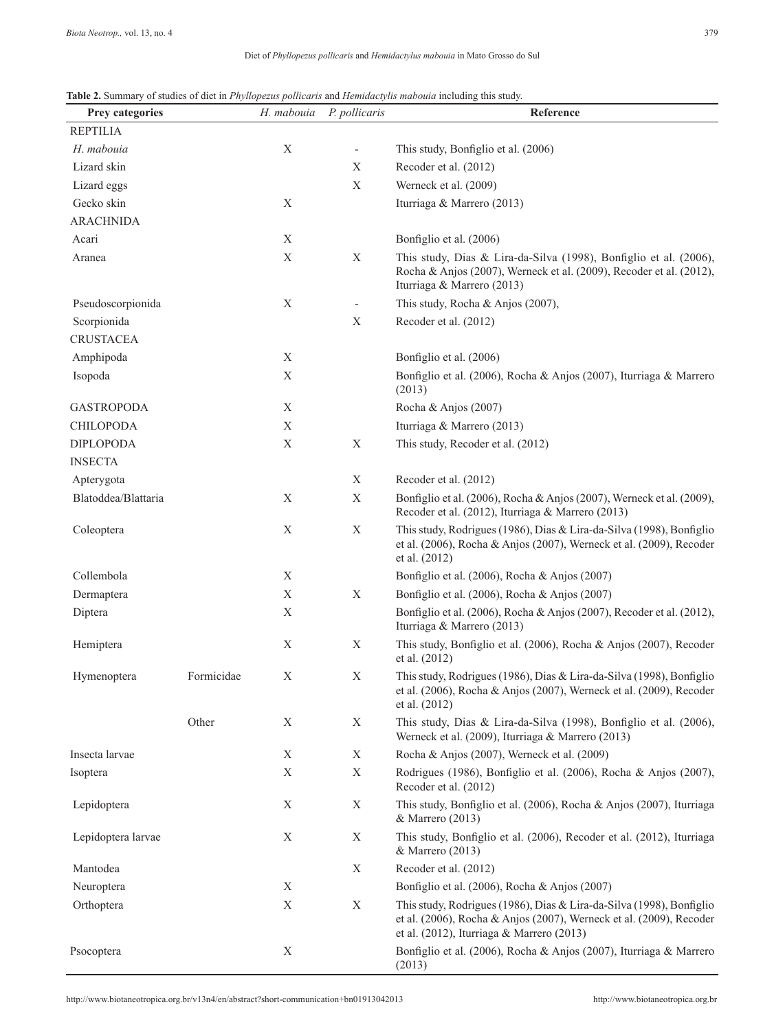| Table 2. Summary of studies of diet in <i>Phyllopezus pollicaris</i> and <i>Hemidactylis mabouia</i> including this study. |  |  |
|----------------------------------------------------------------------------------------------------------------------------|--|--|
|                                                                                                                            |  |  |

| <b>Prey categories</b> |            | H. mabouia  | P. pollicaris            | Reference                                                                                                                                                                                |
|------------------------|------------|-------------|--------------------------|------------------------------------------------------------------------------------------------------------------------------------------------------------------------------------------|
| <b>REPTILIA</b>        |            |             |                          |                                                                                                                                                                                          |
| H. mabouia             |            | $\mathbf X$ | $\overline{\phantom{a}}$ | This study, Bonfiglio et al. (2006)                                                                                                                                                      |
| Lizard skin            |            |             | $\mathbf X$              | Recoder et al. (2012)                                                                                                                                                                    |
| Lizard eggs            |            |             | $\mathbf X$              | Werneck et al. (2009)                                                                                                                                                                    |
| Gecko skin             |            | $\mathbf X$ |                          | Iturriaga & Marrero (2013)                                                                                                                                                               |
| <b>ARACHNIDA</b>       |            |             |                          |                                                                                                                                                                                          |
| Acari                  |            | $\mathbf X$ |                          | Bonfiglio et al. (2006)                                                                                                                                                                  |
| Aranea                 |            | $\mathbf X$ | $\mathbf X$              | This study, Dias & Lira-da-Silva (1998), Bonfiglio et al. (2006),<br>Rocha & Anjos (2007), Werneck et al. (2009), Recoder et al. (2012),<br>Iturriaga & Marrero (2013)                   |
| Pseudoscorpionida      |            | $\mathbf X$ | $\overline{\phantom{a}}$ | This study, Rocha & Anjos (2007),                                                                                                                                                        |
| Scorpionida            |            |             | $\mathbf X$              | Recoder et al. (2012)                                                                                                                                                                    |
| <b>CRUSTACEA</b>       |            |             |                          |                                                                                                                                                                                          |
| Amphipoda              |            | X           |                          | Bonfiglio et al. (2006)                                                                                                                                                                  |
| Isopoda                |            | $\mathbf X$ |                          | Bonfiglio et al. (2006), Rocha & Anjos (2007), Iturriaga & Marrero<br>(2013)                                                                                                             |
| <b>GASTROPODA</b>      |            | $\mathbf X$ |                          | Rocha & Anjos (2007)                                                                                                                                                                     |
| <b>CHILOPODA</b>       |            | $\mathbf X$ |                          | Iturriaga & Marrero (2013)                                                                                                                                                               |
| <b>DIPLOPODA</b>       |            | $\mathbf X$ | $\mathbf X$              | This study, Recoder et al. (2012)                                                                                                                                                        |
| <b>INSECTA</b>         |            |             |                          |                                                                                                                                                                                          |
| Apterygota             |            |             | $\mathbf X$              | Recoder et al. (2012)                                                                                                                                                                    |
| Blatoddea/Blattaria    |            | $\mathbf X$ | $\mathbf X$              | Bonfiglio et al. (2006), Rocha & Anjos (2007), Werneck et al. (2009),<br>Recoder et al. (2012), Iturriaga & Marrero (2013)                                                               |
| Coleoptera             |            | $\mathbf X$ | $\mathbf X$              | This study, Rodrigues (1986), Dias & Lira-da-Silva (1998), Bonfiglio<br>et al. (2006), Rocha & Anjos (2007), Werneck et al. (2009), Recoder<br>et al. (2012)                             |
| Collembola             |            | $\mathbf X$ |                          | Bonfiglio et al. (2006), Rocha & Anjos (2007)                                                                                                                                            |
| Dermaptera             |            | $\mathbf X$ | $\mathbf X$              | Bonfiglio et al. (2006), Rocha & Anjos (2007)                                                                                                                                            |
| Diptera                |            | $\mathbf X$ |                          | Bonfiglio et al. (2006), Rocha & Anjos (2007), Recoder et al. (2012),<br>Iturriaga & Marrero (2013)                                                                                      |
| Hemiptera              |            | $\mathbf X$ | X                        | This study, Bonfiglio et al. (2006), Rocha & Anjos (2007), Recoder<br>et al. (2012)                                                                                                      |
| Hymenoptera            | Formicidae | $\mathbf X$ | $\mathbf X$              | This study, Rodrigues (1986), Dias & Lira-da-Silva (1998), Bonfiglio<br>et al. (2006), Rocha & Anjos (2007), Werneck et al. (2009), Recoder<br>et al. (2012)                             |
|                        | Other      | $\mathbf X$ | $\mathbf X$              | This study, Dias & Lira-da-Silva (1998), Bonfiglio et al. (2006),<br>Werneck et al. (2009), Iturriaga & Marrero (2013)                                                                   |
| Insecta larvae         |            | X           | X                        | Rocha & Anjos (2007), Werneck et al. (2009)                                                                                                                                              |
| Isoptera               |            | $\mathbf X$ | $\mathbf X$              | Rodrigues (1986), Bonfiglio et al. (2006), Rocha & Anjos (2007),<br>Recoder et al. (2012)                                                                                                |
| Lepidoptera            |            | $\mathbf X$ | $\mathbf X$              | This study, Bonfiglio et al. (2006), Rocha & Anjos (2007), Iturriaga<br>& Marrero (2013)                                                                                                 |
| Lepidoptera larvae     |            | $\mathbf X$ | $\mathbf X$              | This study, Bonfiglio et al. (2006), Recoder et al. (2012), Iturriaga<br>& Marrero (2013)                                                                                                |
| Mantodea               |            |             | $\mathbf X$              | Recoder et al. (2012)                                                                                                                                                                    |
| Neuroptera             |            | $\mathbf X$ |                          | Bonfiglio et al. (2006), Rocha & Anjos (2007)                                                                                                                                            |
| Orthoptera             |            | $\mathbf X$ | X                        | This study, Rodrigues (1986), Dias & Lira-da-Silva (1998), Bonfiglio<br>et al. (2006), Rocha & Anjos (2007), Werneck et al. (2009), Recoder<br>et al. (2012), Iturriaga & Marrero (2013) |
| Psocoptera             |            | X           |                          | Bonfiglio et al. (2006), Rocha & Anjos (2007), Iturriaga & Marrero<br>(2013)                                                                                                             |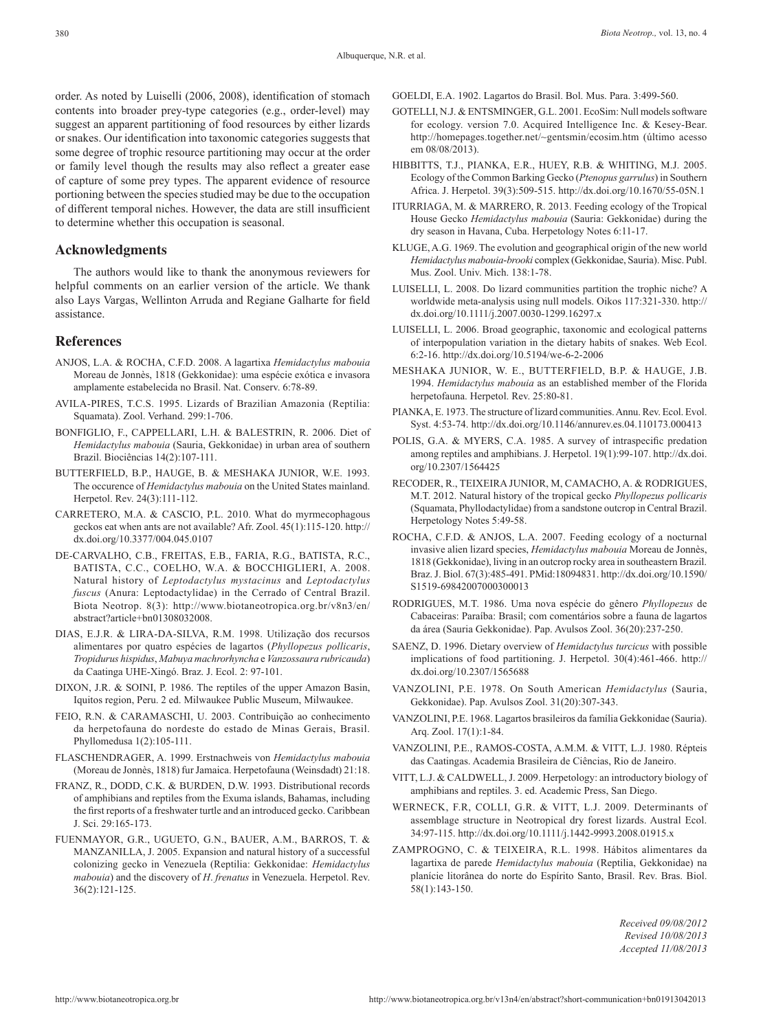order. As noted by Luiselli (2006, 2008), identification of stomach contents into broader prey-type categories (e.g., order-level) may suggest an apparent partitioning of food resources by either lizards or snakes. Our identification into taxonomic categories suggests that some degree of trophic resource partitioning may occur at the order or family level though the results may also reflect a greater ease of capture of some prey types. The apparent evidence of resource portioning between the species studied may be due to the occupation of different temporal niches. However, the data are still insufficient to determine whether this occupation is seasonal.

## **Acknowledgments**

The authors would like to thank the anonymous reviewers for helpful comments on an earlier version of the article. We thank also Lays Vargas, Wellinton Arruda and Regiane Galharte for field assistance.

# **References**

- ANJOS, L.A. & ROCHA, C.F.D. 2008. A lagartixa *Hemidactylus mabouia* Moreau de Jonnès, 1818 (Gekkonidae): uma espécie exótica e invasora amplamente estabelecida no Brasil. Nat. Conserv. 6:78-89.
- AVILA-PIRES, T.C.S. 1995. Lizards of Brazilian Amazonia (Reptilia: Squamata). Zool. Verhand. 299:1-706.
- BONFIGLIO, F., CAPPELLARI, L.H. & BALESTRIN, R. 2006. Diet of *Hemidactylus mabouia* (Sauria, Gekkonidae) in urban area of southern Brazil. Biociências 14(2):107-111.
- BUTTERFIELD, B.P., HAUGE, B. & MESHAKA JUNIOR, W.E. 1993. The occurence of *Hemidactylus mabouia* on the United States mainland. Herpetol. Rev. 24(3):111-112.
- CARRETERO, M.A. & CASCIO, P.L. 2010. What do myrmecophagous geckos eat when ants are not available? Afr. Zool. 45(1):115-120. [http://](http://dx.doi.org/10.3377/004.045.0107) [dx.doi.org/10.3377/004.045.0107](http://dx.doi.org/10.3377/004.045.0107)
- DE-CARVALHO, C.B., FREITAS, E.B., FARIA, R.G., BATISTA, R.C., BATISTA, C.C., COELHO, W.A. & BOCCHIGLIERI, A. 2008. Natural history of *Leptodactylus mystacinus* and *Leptodactylus fuscus* (Anura: Leptodactylidae) in the Cerrado of Central Brazil. Biota Neotrop. 8(3): [http://www.biotaneotropica.org.br/v8n3/en/](http://www.biotaneotropica.org.br/v8n3/en/abstract?article+bn01308032008.) [abstract?article+bn01308032008.](http://www.biotaneotropica.org.br/v8n3/en/abstract?article+bn01308032008.)
- DIAS, E.J.R. & LIRA-DA-SILVA, R.M. 1998. Utilização dos recursos alimentares por quatro espécies de lagartos (*Phyllopezus pollicaris*, *Tropidurus hispidus*, *Mabuya machrorhyncha* e *Vanzossaura rubricauda*) da Caatinga UHE-Xingó. Braz. J. Ecol. 2: 97-101.
- DIXON, J.R. & SOINI, P. 1986. The reptiles of the upper Amazon Basin, Iquitos region, Peru. 2 ed. Milwaukee Public Museum, Milwaukee.
- FEIO, R.N. & CARAMASCHI, U. 2003. Contribuição ao conhecimento da herpetofauna do nordeste do estado de Minas Gerais, Brasil. Phyllomedusa 1(2):105-111.
- FLASCHENDRAGER, A. 1999. Erstnachweis von *Hemidactylus mabouia* (Moreau de Jonnès, 1818) fur Jamaica. Herpetofauna (Weinsdadt) 21:18.
- FRANZ, R., DODD, C.K. & BURDEN, D.W. 1993. Distributional records of amphibians and reptiles from the Exuma islands, Bahamas, including the first reports of a freshwater turtle and an introduced gecko. Caribbean J. Sci. 29:165-173.
- FUENMAYOR, G.R., UGUETO, G.N., BAUER, A.M., BARROS, T. & MANZANILLA, J. 2005. Expansion and natural history of a successful colonizing gecko in Venezuela (Reptilia: Gekkonidae: *Hemidactylus mabouia*) and the discovery of *H*. *frenatus* in Venezuela. Herpetol. Rev. 36(2):121-125.

GOELDI, E.A. 1902. Lagartos do Brasil. Bol. Mus. Para. 3:499-560.

- GOTELLI, N.J. & ENTSMINGER, G.L. 2001. EcoSim: Null models software for ecology. version 7.0. Acquired Intelligence Inc. & Kesey-Bear. <http://homepages.together.net/~gentsmin/ecosim.htm> (último acesso em 08/08/2013).
- HIBBITTS, T.J., PIANKA, E.R., HUEY, R.B. & WHITING, M.J. 2005. Ecology of the Common Barking Gecko (*Ptenopus garrulus*) in Southern Africa. J. Herpetol. 39(3):509-515. <http://dx.doi.org/10.1670/55-05N.1>
- ITURRIAGA, M. & MARRERO, R. 2013. Feeding ecology of the Tropical House Gecko *Hemidactylus mabouia* (Sauria: Gekkonidae) during the dry season in Havana, Cuba. Herpetology Notes 6:11-17.
- KLUGE, A.G. 1969. The evolution and geographical origin of the new world *Hemidactylus mabouia*-*brooki* complex (Gekkonidae, Sauria). Misc. Publ. Mus. Zool. Univ. Mich. 138:1-78.
- LUISELLI, L. 2008. Do lizard communities partition the trophic niche? A worldwide meta-analysis using null models. Oikos 117:321-330. [http://](http://dx.doi.org/10.1111/j.2007.0030-1299.16297.x) [dx.doi.org/10.1111/j.2007.0030-1299.16297.x](http://dx.doi.org/10.1111/j.2007.0030-1299.16297.x)
- LUISELLI, L. 2006. Broad geographic, taxonomic and ecological patterns of interpopulation variation in the dietary habits of snakes. Web Ecol. 6:2-16. <http://dx.doi.org/10.5194/we-6-2-2006>
- MESHAKA JUNIOR, W. E., BUTTERFIELD, B.P. & HAUGE, J.B. 1994. *Hemidactylus mabouia* as an established member of the Florida herpetofauna. Herpetol. Rev. 25:80-81.
- PIANKA, E. 1973. The structure of lizard communities. Annu. Rev. Ecol. Evol. Syst. 4:53-74. <http://dx.doi.org/10.1146/annurev.es.04.110173.000413>
- POLIS, G.A. & MYERS, C.A. 1985. A survey of intraspecific predation among reptiles and amphibians. J. Herpetol. 19(1):99-107. [http://dx.doi.](http://dx.doi.org/10.2307/1564425) [org/10.2307/1564425](http://dx.doi.org/10.2307/1564425)
- RECODER, R., TEIXEIRA JUNIOR, M, CAMACHO, A. & RODRIGUES, M.T. 2012. Natural history of the tropical gecko *Phyllopezus pollicaris* (Squamata, Phyllodactylidae) from a sandstone outcrop in Central Brazil. Herpetology Notes 5:49-58.
- ROCHA, C.F.D. & ANJOS, L.A. 2007. Feeding ecology of a nocturnal invasive alien lizard species, *Hemidactylus mabouia* Moreau de Jonnès, 1818 (Gekkonidae), living in an outcrop rocky area in southeastern Brazil. Braz. J. Biol. 67(3):485-491. PMid:18094831. [http://dx.doi.org/10.1590/](http://dx.doi.org/10.1590/S1519-69842007000300013) [S1519-69842007000300013](http://dx.doi.org/10.1590/S1519-69842007000300013)
- RODRIGUES, M.T. 1986. Uma nova espécie do gênero *Phyllopezus* de Cabaceiras: Paraíba: Brasil; com comentários sobre a fauna de lagartos da área (Sauria Gekkonidae). Pap. Avulsos Zool. 36(20):237-250.
- SAENZ, D. 1996. Dietary overview of *Hemidactylus turcicus* with possible implications of food partitioning. J. Herpetol. 30(4):461-466. [http://](http://dx.doi.org/10.2307/1565688) [dx.doi.org/10.2307/1565688](http://dx.doi.org/10.2307/1565688)
- VANZOLINI, P.E. 1978. On South American *Hemidactylus* (Sauria, Gekkonidae). Pap. Avulsos Zool. 31(20):307-343.
- VANZOLINI, P.E. 1968. Lagartos brasileiros da família Gekkonidae (Sauria). Arq. Zool. 17(1):1-84.
- VANZOLINI, P.E., RAMOS-COSTA, A.M.M. & VITT, L.J. 1980. Répteis das Caatingas. Academia Brasileira de Ciências, Rio de Janeiro.
- VITT, L.J. & CALDWELL, J. 2009. Herpetology: an introductory biology of amphibians and reptiles. 3. ed. Academic Press, San Diego.
- WERNECK, F.R, COLLI, G.R. & VITT, L.J. 2009. Determinants of assemblage structure in Neotropical dry forest lizards. Austral Ecol. 34:97-115. <http://dx.doi.org/10.1111/j.1442-9993.2008.01915.x>
- ZAMPROGNO, C. & TEIXEIRA, R.L. 1998. Hábitos alimentares da lagartixa de parede *Hemidactylus mabouia* (Reptilia, Gekkonidae) na planície litorânea do norte do Espírito Santo, Brasil. Rev. Bras. Biol. 58(1):143-150.

*Received 09/08/2012 Revised 10/08/2013 Accepted 11/08/2013*